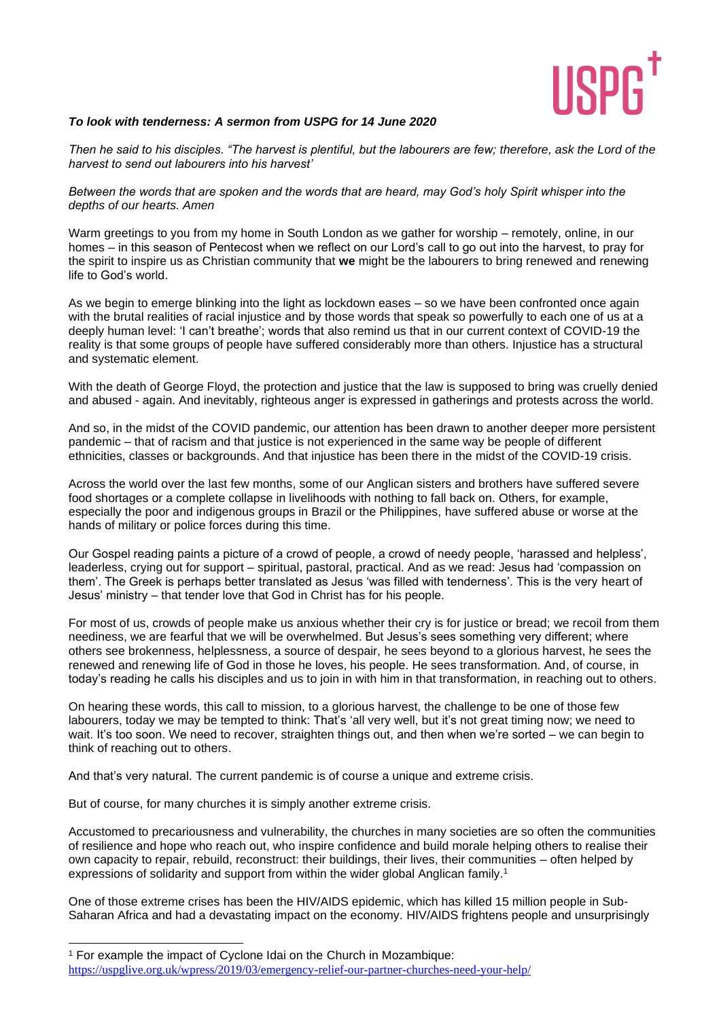

## *To look with tenderness: A sermon from USPG for 14 June 2020*

*Then he said to his disciples. "The harvest is plentiful, but the labourers are few; therefore, ask the Lord of the harvest to send out labourers into his harvest'* 

*Between the words that are spoken and the words that are heard, may God's holy Spirit whisper into the depths of our hearts. Amen* 

Warm greetings to you from my home in South London as we gather for worship – remotely, online, in our homes – in this season of Pentecost when we reflect on our Lord's call to go out into the harvest, to pray for the spirit to inspire us as Christian community that **we** might be the labourers to bring renewed and renewing life to God's world.

As we begin to emerge blinking into the light as lockdown eases – so we have been confronted once again with the brutal realities of racial injustice and by those words that speak so powerfully to each one of us at a deeply human level: 'I can't breathe'; words that also remind us that in our current context of COVID-19 the reality is that some groups of people have suffered considerably more than others. Injustice has a structural and systematic element.

With the death of George Floyd, the protection and justice that the law is supposed to bring was cruelly denied and abused - again. And inevitably, righteous anger is expressed in gatherings and protests across the world.

And so, in the midst of the COVID pandemic, our attention has been drawn to another deeper more persistent pandemic – that of racism and that justice is not experienced in the same way be people of different ethnicities, classes or backgrounds. And that injustice has been there in the midst of the COVID-19 crisis.

Across the world over the last few months, some of our Anglican sisters and brothers have suffered severe food shortages or a complete collapse in livelihoods with nothing to fall back on. Others, for example, especially the poor and indigenous groups in Brazil or the Philippines, have suffered abuse or worse at the hands of military or police forces during this time.

Our Gospel reading paints a picture of a crowd of people, a crowd of needy people, 'harassed and helpless', leaderless, crying out for support – spiritual, pastoral, practical. And as we read: Jesus had 'compassion on them'. The Greek is perhaps better translated as Jesus 'was filled with tenderness'. This is the very heart of Jesus' ministry – that tender love that God in Christ has for his people.

For most of us, crowds of people make us anxious whether their cry is for justice or bread; we recoil from them neediness, we are fearful that we will be overwhelmed. But Jesus's sees something very different; where others see brokenness, helplessness, a source of despair, he sees beyond to a glorious harvest, he sees the renewed and renewing life of God in those he loves, his people. He sees transformation. And, of course, in today's reading he calls his disciples and us to join in with him in that transformation, in reaching out to others.

On hearing these words, this call to mission, to a glorious harvest, the challenge to be one of those few labourers, today we may be tempted to think: That's 'all very well, but it's not great timing now; we need to wait. It's too soon. We need to recover, straighten things out, and then when we're sorted – we can begin to think of reaching out to others.

And that's very natural. The current pandemic is of course a unique and extreme crisis.

But of course, for many churches it is simply another extreme crisis.

Accustomed to precariousness and vulnerability, the churches in many societies are so often the communities of resilience and hope who reach out, who inspire confidence and build morale helping others to realise their own capacity to repair, rebuild, reconstruct: their buildings, their lives, their communities – often helped by expressions of solidarity and support from within the wider global Anglican family.<sup>1</sup>

One of those extreme crises has been the HIV/AIDS epidemic, which has killed 15 million people in Sub-Saharan Africa and had a devastating impact on the economy. HIV/AIDS frightens people and unsurprisingly

<sup>1</sup> For example the impact of Cyclone Idai on the Church in Mozambique:

<https://uspglive.org.uk/wpress/2019/03/emergency-relief-our-partner-churches-need-your-help/>